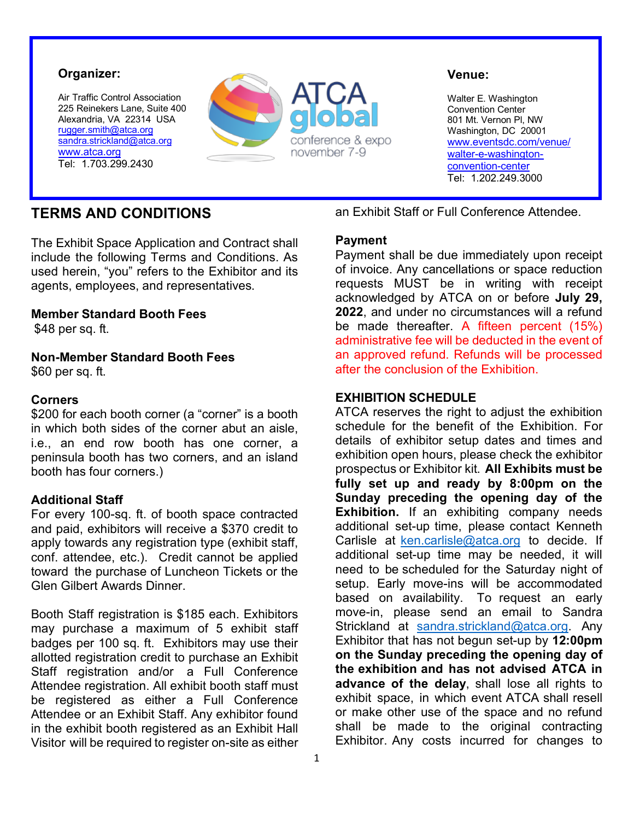### **Organizer:**

Air Traffic Control Association 225 Reinekers Lane, Suite 400 Alexandria, VA 22314 USA [rugger.smith@atca.org](mailto:rugger.smith@atca.org) [sandra.strickland@atca.org](mailto:sandra.strickland@atca.org) [www.atca.org](http://www.atca.org/) Tel: 1.703.299.2430



#### **Venue:**

Walter E. Washington Convention Center 801 Mt. Vernon Pl, NW Washington, DC 20001 [www.eventsdc.com/venue/](http://www.atca.org/) [walter-e-washington](http://www.atca.org/)[convention-center](http://www.atca.org/) Tel: 1.202.249.3000

# **TERMS AND CONDITIONS**

The Exhibit Space Application and Contract shall include the following Terms and Conditions. As used herein, "you" refers to the Exhibitor and its agents, employees, and representatives.

### **Member Standard Booth Fees**

\$48 per sq. ft.

**Non-Member Standard Booth Fees** \$60 per sq. ft.

### **Corners**

\$200 for each booth corner (a "corner" is a booth in which both sides of the corner abut an aisle, i.e., an end row booth has one corner, a peninsula booth has two corners, and an island booth has four corners.)

### **Additional Staff**

For every 100-sq. ft. of booth space contracted and paid, exhibitors will receive a \$370 credit to apply towards any registration type (exhibit staff, conf. attendee, etc.). Credit cannot be applied toward the purchase of Luncheon Tickets or the Glen Gilbert Awards Dinner.

Booth Staff registration is \$185 each. Exhibitors may purchase a maximum of 5 exhibit staff badges per 100 sq. ft. Exhibitors may use their allotted registration credit to purchase an Exhibit Staff registration and/or a Full Conference Attendee registration. All exhibit booth staff must be registered as either a Full Conference Attendee or an Exhibit Staff. Any exhibitor found in the exhibit booth registered as an Exhibit Hall Visitor will be required to register on-site as either

**Payment**

Payment shall be due immediately upon receipt of invoice. Any cancellations or space reduction requests MUST be in writing with receipt acknowledged by ATCA on or before **July 29, 2022**, and under no circumstances will a refund be made thereafter. A fifteen percent (15%) administrative fee will be deducted in the event of an approved refund. Refunds will be processed after the conclusion of the Exhibition.

an Exhibit Staff or Full Conference Attendee.

### **EXHIBITION SCHEDULE**

ATCA reserves the right to adjust the exhibition schedule for the benefit of the Exhibition. For details of exhibitor setup dates and times and exhibition open hours, please check the exhibitor prospectus or Exhibitor kit. **All Exhibits must be fully set up and ready by 8:00pm on the Sunday preceding the opening day of the [Exhibition.](mailto:ken.carlisle@atca.org)** If an exhibiting company needs additional set-up time, please contact Kenneth Carlisle at [ken.carlisle@atca.org](mailto:ken.carlisle@atca.org) to decide. If additional set-up time may be needed, it will need to be scheduled for the Saturday night of setup. Early move-ins will be accommodated based on availability. To request an early move-in, please send an email to Sandra Strickland at [sandra.strickland@atca.org.](mailto:sandra.strickland@atca.org) Any Exhibitor that has not begun set-up by **12:00pm on the Sunday preceding the opening day of the exhibition and has not advised ATCA in advance of the delay**, shall lose all rights to exhibit space, in which event ATCA shall resell or make other use of the space and no refund shall be made to the original contracting Exhibitor. Any costs incurred for changes to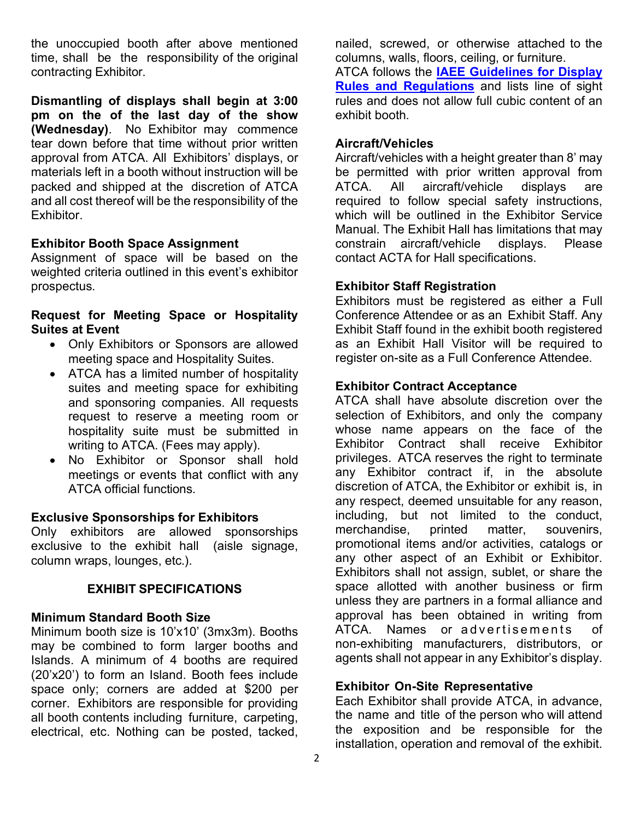the unoccupied booth after above mentioned time, shall be the responsibility of the original contracting Exhibitor.

**Dismantling of displays shall begin at 3:00 pm on the of the last day of the show (Wednesday)**. No Exhibitor may commence tear down before that time without prior written approval from ATCA. All Exhibitors' displays, or materials left in a booth without instruction will be packed and shipped at the discretion of ATCA and all cost thereof will be the responsibility of the Exhibitor.

### **Exhibitor Booth Space Assignment**

Assignment of space will be based on the weighted criteria outlined in this event's exhibitor prospectus.

### **Request for Meeting Space or Hospitality Suites at Event**

- Only Exhibitors or Sponsors are allowed meeting space and Hospitality Suites.
- ATCA has a limited number of hospitality suites and meeting space for exhibiting and sponsoring companies. All requests request to reserve a meeting room or hospitality suite must be submitted in writing to ATCA. (Fees may apply).
- No Exhibitor or Sponsor shall hold meetings or events that conflict with any ATCA official functions.

### **Exclusive Sponsorships for Exhibitors**

Only exhibitors are allowed sponsorships exclusive to the exhibit hall (aisle signage, column wraps, lounges, etc.).

### **EXHIBIT SPECIFICATIONS**

#### **Minimum Standard Booth Size**

Minimum booth size is 10'x10' (3mx3m). Booths may be combined to form larger booths and Islands. A minimum of 4 booths are required (20'x20') to form an Island. Booth fees include space only; corners are added at \$200 per corner. Exhibitors are responsible for providing all booth contents including furniture, carpeting, electrical, etc. Nothing can be posted, tacked,

nailed, screwed, or otherwise attached to the columns, walls, floors, ceiling, or furniture. ATCA follows the **[IAEE Guidelines for Display](https://www.atca.org/Uploads/Annual/67th%20Annual%20Nov.%202033/GuidelinesforDisplayRules.updated%202019%20-%20ATCA%20Annual.pdf)** 

**[Rules and Regulations](https://www.atca.org/Uploads/Annual/67th%20Annual%20Nov.%202033/GuidelinesforDisplayRules.updated%202019%20-%20ATCA%20Annual.pdf)** and lists line of sight rules and does not allow full cubic content of an exhibit booth.

### **Aircraft/Vehicles**

Aircraft/vehicles with a height greater than 8' may be permitted with prior written approval from ATCA. All aircraft/vehicle displays are required to follow special safety instructions, which will be outlined in the Exhibitor Service Manual. The Exhibit Hall has limitations that may constrain aircraft/vehicle displays. Please contact ACTA for Hall specifications.

### **Exhibitor Staff Registration**

Exhibitors must be registered as either a Full Conference Attendee or as an Exhibit Staff. Any Exhibit Staff found in the exhibit booth registered as an Exhibit Hall Visitor will be required to register on-site as a Full Conference Attendee.

### **Exhibitor Contract Acceptance**

ATCA shall have absolute discretion over the selection of Exhibitors, and only the company whose name appears on the face of the Exhibitor Contract shall receive Exhibitor privileges. ATCA reserves the right to terminate any Exhibitor contract if, in the absolute discretion of ATCA, the Exhibitor or exhibit is, in any respect, deemed unsuitable for any reason, including, but not limited to the conduct, merchandise, printed matter, souvenirs, promotional items and/or activities, catalogs or any other aspect of an Exhibit or Exhibitor. Exhibitors shall not assign, sublet, or share the space allotted with another business or firm unless they are partners in a formal alliance and approval has been obtained in writing from ATCA. Names or advertisements of non-exhibiting manufacturers, distributors, or agents shall not appear in any Exhibitor's display.

#### **Exhibitor On-Site Representative**

Each Exhibitor shall provide ATCA, in advance, the name and title of the person who will attend the exposition and be responsible for the installation, operation and removal of the exhibit.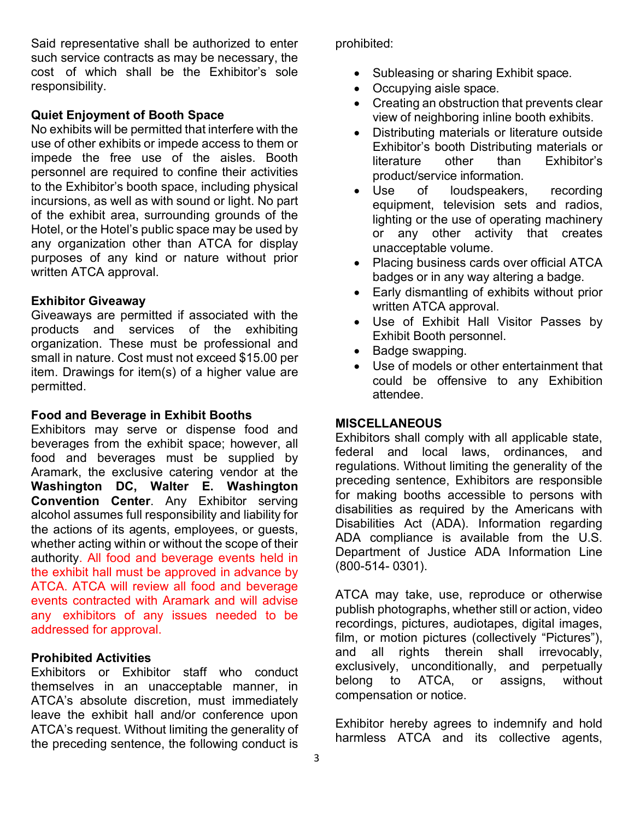Said representative shall be authorized to enter such service contracts as may be necessary, the cost of which shall be the Exhibitor's sole responsibility.

## **Quiet Enjoyment of Booth Space**

No exhibits will be permitted that interfere with the use of other exhibits or impede access to them or impede the free use of the aisles. Booth personnel are required to confine their activities to the Exhibitor's booth space, including physical incursions, as well as with sound or light. No part of the exhibit area, surrounding grounds of the Hotel, or the Hotel's public space may be used by any organization other than ATCA for display purposes of any kind or nature without prior written ATCA approval.

## **Exhibitor Giveaway**

Giveaways are permitted if associated with the products and services of the exhibiting organization. These must be professional and small in nature. Cost must not exceed \$15.00 per item. Drawings for item(s) of a higher value are permitted.

### **Food and Beverage in Exhibit Booths**

Exhibitors may serve or dispense food and beverages from the exhibit space; however, all food and beverages must be supplied by Aramark, the exclusive catering vendor at the **Washington DC, Walter E. Washington Convention Center**. Any Exhibitor serving alcohol assumes full responsibility and liability for the actions of its agents, employees, or guests, whether acting within or without the scope of their authority. All food and beverage events held in the exhibit hall must be approved in advance by ATCA. ATCA will review all food and beverage events contracted with Aramark and will advise any exhibitors of any issues needed to be addressed for approval.

### **Prohibited Activities**

Exhibitors or Exhibitor staff who conduct themselves in an unacceptable manner, in ATCA's absolute discretion, must immediately leave the exhibit hall and/or conference upon ATCA's request. Without limiting the generality of the preceding sentence, the following conduct is

prohibited:

- Subleasing or sharing Exhibit space.
- Occupying aisle space.
- Creating an obstruction that prevents clear view of neighboring inline booth exhibits.
- Distributing materials or literature outside Exhibitor's booth Distributing materials or literature other than Exhibitor's product/service information.
- Use of loudspeakers, recording equipment, television sets and radios, lighting or the use of operating machinery or any other activity that creates unacceptable volume.
- Placing business cards over official ATCA badges or in any way altering a badge.
- Early dismantling of exhibits without prior written ATCA approval.
- Use of Exhibit Hall Visitor Passes by Exhibit Booth personnel.
- Badge swapping.
- Use of models or other entertainment that could be offensive to any Exhibition attendee.

### **MISCELLANEOUS**

Exhibitors shall comply with all applicable state, federal and local laws, ordinances, and regulations. Without limiting the generality of the preceding sentence, Exhibitors are responsible for making booths accessible to persons with disabilities as required by the Americans with Disabilities Act (ADA). Information regarding ADA compliance is available from the U.S. Department of Justice ADA Information Line (800-514- 0301).

ATCA may take, use, reproduce or otherwise publish photographs, whether still or action, video recordings, pictures, audiotapes, digital images, film, or motion pictures (collectively "Pictures"), and all rights therein shall irrevocably, exclusively, unconditionally, and perpetually belong to ATCA, or assigns, without compensation or notice.

Exhibitor hereby agrees to indemnify and hold harmless ATCA and its collective agents,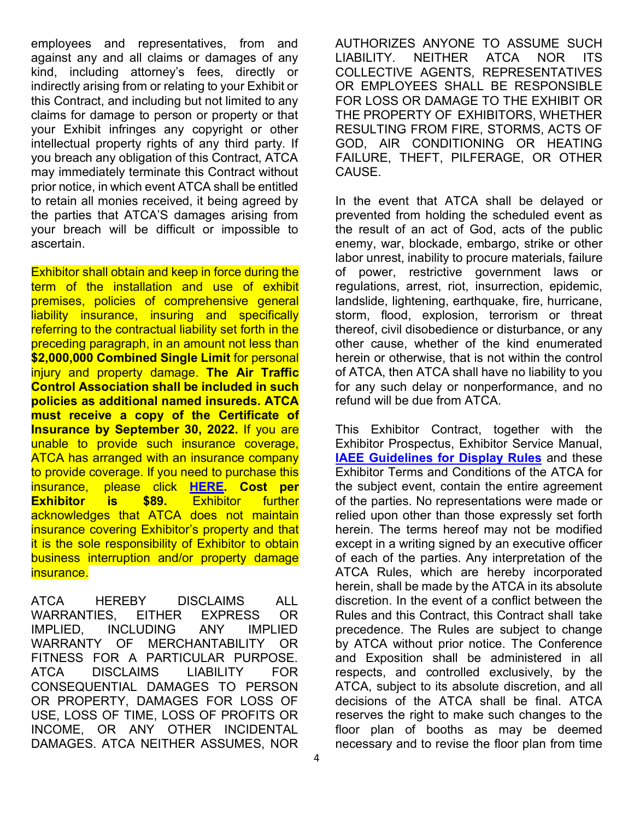employees and representatives, from and against any and all claims or damages of any kind, including attorney's fees, directly or indirectly arising from or relating to your Exhibit or this Contract, and including but not limited to any claims for damage to person or property or that your Exhibit infringes any copyright or other intellectual property rights of any third party. If you breach any obligation of this Contract, ATCA may immediately terminate this Contract without prior notice, in which event ATCA shall be entitled to retain all monies received, it being agreed by the parties that ATCA'S damages arising from your breach will be difficult or impossible to ascertain.

Exhibitor shall obtain and keep in force during the term of the installation and use of exhibit premises, policies of comprehensive general liability insurance, insuring and specifically referring to the contractual liability set forth in the preceding paragraph, in an amount not less than **\$2,000,000 Combined Single Limit** for personal injury and property damage. **The Air Traffic Control Association shall be included in such policies as additional named insureds. ATCA must receive a copy of the Certificate of Insurance by September 30, 2022.** If you are unable to provide such insurance coverage, ATCA has arranged with an insurance company to provide coverage. If you need to purchase this insurance, please click **[HERE](https://securevendorinsurance.com/RainprotectionGroupVendor/ApplicantInformation?GroupEventKey=9837fc3e4ce6)***.* **Cost per Exhibitor is \$89.** Exhibitor further acknowledges that ATCA does not maintain insurance covering Exhibitor's property and that it is the sole responsibility of Exhibitor to obtain business interruption and/or property damage insurance.

ATCA HEREBY DISCLAIMS ALL WARRANTIES, EITHER EXPRESS OR IMPLIED, INCLUDING ANY IMPLIED WARRANTY OF MERCHANTABILITY OR FITNESS FOR A PARTICULAR PURPOSE. ATCA DISCLAIMS LIABILITY FOR CONSEQUENTIAL DAMAGES TO PERSON OR PROPERTY, DAMAGES FOR LOSS OF USE, LOSS OF TIME, LOSS OF PROFITS OR INCOME, OR ANY OTHER INCIDENTAL DAMAGES. ATCA NEITHER ASSUMES, NOR

AUTHORIZES ANYONE TO ASSUME SUCH LIABILITY. NEITHER ATCA NOR ITS COLLECTIVE AGENTS, REPRESENTATIVES OR EMPLOYEES SHALL BE RESPONSIBLE FOR LOSS OR DAMAGE TO THE EXHIBIT OR THE PROPERTY OF EXHIBITORS, WHETHER RESULTING FROM FIRE, STORMS, ACTS OF GOD, AIR CONDITIONING OR HEATING FAILURE, THEFT, PILFERAGE, OR OTHER CAUSE.

In the event that ATCA shall be delayed or prevented from holding the scheduled event as the result of an act of God, acts of the public enemy, war, blockade, embargo, strike or other labor unrest, inability to procure materials, failure of power, restrictive government laws or regulations, arrest, riot, insurrection, epidemic, landslide, lightening, earthquake, fire, hurricane, storm, flood, explosion, terrorism or threat thereof, civil disobedience or disturbance, or any other cause, whether of the kind enumerated herein or otherwise, that is not within the control of ATCA, then ATCA shall have no liability to you for any such delay or nonperformance, and no refund will be due from ATCA.

This Exhibitor Contract, together with the Exhibitor Prospectus, Exhibitor Service Manual, **[IAEE Guidelines for Display Rules](https://www.atca.org/Uploads/Annual/67th%20Annual%20Nov.%202033/GuidelinesforDisplayRules.updated%202019%20-%20ATCA%20Annual.pdf)** and these Exhibitor Terms and Conditions of the ATCA for the subject event, contain the entire agreement of the parties. No representations were made or relied upon other than those expressly set forth herein. The terms hereof may not be modified except in a writing signed by an executive officer of each of the parties. Any interpretation of the ATCA Rules, which are hereby incorporated herein, shall be made by the ATCA in its absolute discretion. In the event of a conflict between the Rules and this Contract, this Contract shall take precedence. The Rules are subject to change by ATCA without prior notice. The Conference and Exposition shall be administered in all respects, and controlled exclusively, by the ATCA, subject to its absolute discretion, and all decisions of the ATCA shall be final. ATCA reserves the right to make such changes to the floor plan of booths as may be deemed necessary and to revise the floor plan from time